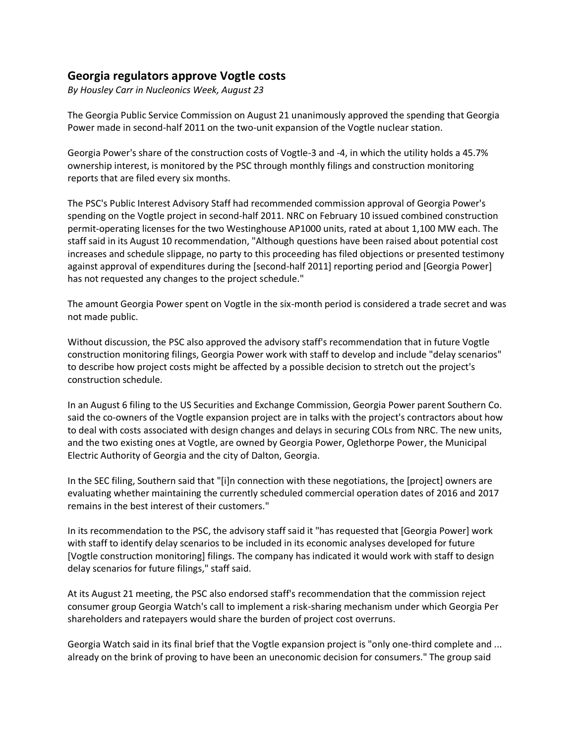## **Georgia regulators approve Vogtle costs**

*By Housley Carr in Nucleonics Week, August 23*

The Georgia Public Service Commission on August 21 unanimously approved the spending that Georgia Power made in second-half 2011 on the two-unit expansion of the Vogtle nuclear station.

Georgia Power's share of the construction costs of Vogtle-3 and -4, in which the utility holds a 45.7% ownership interest, is monitored by the PSC through monthly filings and construction monitoring reports that are filed every six months.

The PSC's Public Interest Advisory Staff had recommended commission approval of Georgia Power's spending on the Vogtle project in second-half 2011. NRC on February 10 issued combined construction permit-operating licenses for the two Westinghouse AP1000 units, rated at about 1,100 MW each. The staff said in its August 10 recommendation, "Although questions have been raised about potential cost increases and schedule slippage, no party to this proceeding has filed objections or presented testimony against approval of expenditures during the [second-half 2011] reporting period and [Georgia Power] has not requested any changes to the project schedule."

The amount Georgia Power spent on Vogtle in the six-month period is considered a trade secret and was not made public.

Without discussion, the PSC also approved the advisory staff's recommendation that in future Vogtle construction monitoring filings, Georgia Power work with staff to develop and include "delay scenarios" to describe how project costs might be affected by a possible decision to stretch out the project's construction schedule.

In an August 6 filing to the US Securities and Exchange Commission, Georgia Power parent Southern Co. said the co-owners of the Vogtle expansion project are in talks with the project's contractors about how to deal with costs associated with design changes and delays in securing COLs from NRC. The new units, and the two existing ones at Vogtle, are owned by Georgia Power, Oglethorpe Power, the Municipal Electric Authority of Georgia and the city of Dalton, Georgia.

In the SEC filing, Southern said that "[i]n connection with these negotiations, the [project] owners are evaluating whether maintaining the currently scheduled commercial operation dates of 2016 and 2017 remains in the best interest of their customers."

In its recommendation to the PSC, the advisory staff said it "has requested that [Georgia Power] work with staff to identify delay scenarios to be included in its economic analyses developed for future [Vogtle construction monitoring] filings. The company has indicated it would work with staff to design delay scenarios for future filings," staff said.

At its August 21 meeting, the PSC also endorsed staff's recommendation that the commission reject consumer group Georgia Watch's call to implement a risk-sharing mechanism under which Georgia Per shareholders and ratepayers would share the burden of project cost overruns.

Georgia Watch said in its final brief that the Vogtle expansion project is "only one-third complete and ... already on the brink of proving to have been an uneconomic decision for consumers." The group said